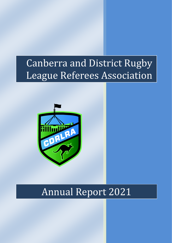# Canberra and District Rugby League Referees Association



# Annual Report 2021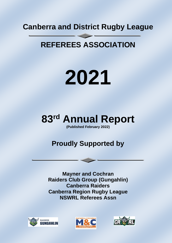## **Canberra and District Rugby League**

## **REFEREES ASSOCIATION**

# **2021**

# **83 rd Annual Report**

**(Published February 2022)**

## **Proudly Supported by**

**Mayner and Cochran Raiders Club Group (Gungahlin) Canberra Raiders Canberra Region Rugby League NSWRL Referees Assn**





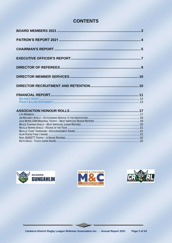## **CONTENTS**





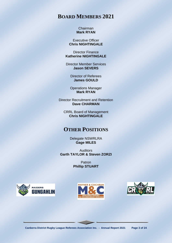## **BOARD MEMBERS 2021**

#### Chairman **Mark RYAN**

Executive Officer **Chris NIGHTINGALE**

Director Finance **Katherine NIGHTINGALE**

Director Member Services **Jason SEVERS**

> Director of Referees **James GOULD**

Operations Manager **Mark RYAN**

Director Recruitment and Retention **Dave CHARMAN**

CRRL Board of Management **Chris NIGHTINGALE**

## **OTHER POSITIONS**

Delegate NSWRLRA **Gage MILES**

Auditors **Garth TAYLOR & Steven ZORZI**

> Patron **Phillip STUART**





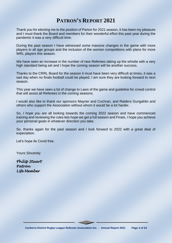## **PATRON'S REPORT 2021**

Thank you for electing me to the position of Parton for 2021 season, it has been my pleasure and I must thank the Board and members for their wonderful effort this past year during the pandemic it was a very difficult time.

During the past season I have witnessed some massive changes in the game with more players in all age groups and the inclusion of the women competitions with plans for more WRL players this season.

We have seen an increase in the number of new Referees taking up the whistle with a very high standard being set and I hope the coming season will be another success.

Thanks to the CRRL Board for the season it must have been very difficult at times, it was a sad day when no finals football could be played, I am sure they are looking forward to next season.

This year we have seen a lot of change to Laws of the game and guideline for crowd control that will assist all Referees in the coming seasons.

I would also like to thank our sponsors Mayner and Cochran, and Raiders Gungahlin and others who support the Association without whom it would be a lot harder.

So, I hope you are all looking towards the coming 2022 season and have commenced training and reviewing the rules lets hope we get a full season and Finals, I hope you achieve your personal goals in whatever direction you take.

So, thanks again for the past season and I look forward to 2022 with a great deal of expectation.

Let's hope its Covid free.

Yours Sincerely

*Philip Stuart Patron Life Member*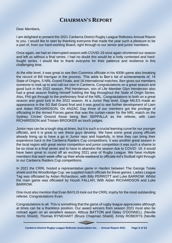## **CHAIRMAN'S REPORT**

#### Dear Members,

I am delighted to present the 2021 Canberra District Rugby League Referees Annual Report to you. I would like to start by thanking everyone that made the year such a pleasure to be a part of, from our hard-working Board, right through to our senior and junior members.

Once again, we had an interrupted season with COVID-19 once again shortened our season and left us without a final series. I had no doubt this would be a hotly contested and hardfought series. I would like to thank everyone for their patience and resilience in this challenging time.

At the elite level, it was great to see Ben Cummins officiate in his 400th game also breaking the record of Bill Harrigan in the process. This adds to Ben's list of achievements of, 14 State of Origins, 5 NRL Grand Finals, and 16 international matches. Ben gives our members someone to look up to and call our own in Canberra. Congratulations on a great season and good luck in the 2022 season. Phil Henderson, son of Life Member Glyn Henderson also had a great season finding himself holding the flag throughout the State of Origin Series. Also, Phil got through to the preliminary final of the NRL. Congratulations to both on a great season and good luck in the 2022 season. At a Junior Rep level, Gage MILES made an appearance in the SG Ball Grand final and it was good to see further development of Liam and Aidan RICHARDSON. On ANZAC Day three of our members got the privilege of officiating in the Armed Forces game that was the curtain-raiser for the NRL match on the Sydney Cricket Ground those being Ben SEPPALLA as the referee, with Liam RICHARDSON and Tristain BROOKER as touch judges.

Junior reps can be a tough slog at times, but it is such a crucial learning curve for our younger officials, and it is great to see these guys develop. We have some great young officials already lining up to have a go in Junior reps and hopefully, in time they can bring their experience back to the Canberra Raiders Cup competitions. It was another great season in the local region with great senior competition and junior competition it was such a shame to be so close to a final series and to have to abandon the season due to COVID- 19, it would have been great to round off an exciting 2021 year of Rugby League. We have multiple members that each week offer up their whole weekend to officiate kid's football right through to our Canberra Raiders Cup competitions.

In 2021 the CRRL hosted a representative game in Harden between The George Tooke shield and the Woodbridge Cup. we supplied match officials for these games. Ladies League Tag was officiated by Aidan Richardson, with Billy PERROTT and Luke BARROW. Whilst the main game was officiated by Housh FALLAH, With Aidan RICHARDSON and Luke BARROW.

One must also mention that Evan BAYLIS took out the CRRL trophy for the most outstanding referee. Congratulations Evan.

Congratulations to all. This is something that the game of rugby league appreciates although at times can be a thankless position. Our award winners from season 2021 must also be noticed again on an excellent season; Atticus BATTON and Daley O'DONNELL (Neville Norris Shield), Thomas RYNEHART (Bruce Chapman Shield), Kirsty ROBERTS (Neville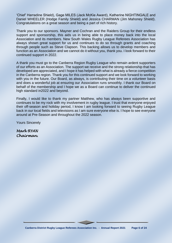'Chief' Harradine Shield), Gage MILES (Jack McKie Award), Katherine NIGHTINGALE and Daniel WHEELER (Hodge Family Shield) and Jessica CHARMAN (Jim Mahoney Shield). Congratulations on a great season and being a part of rich history.

Thank you to our sponsors. Mayner and Cochran and the Raiders Group for their endless support and sponsorship, this aids us in being able to place money back into the local Association and its members. New South Wales Rugby League Referees Association has always shown great support for us and continues to do so through grants and coaching through people such as Steve Clapson. This backing allows us to develop members and function as an Association and we cannot do it without you, thank you. I look forward to their continued support in 2022.

A thank you must go to the Canberra Region Rugby League who remain ardent supporters of our efforts as an Association. The support we receive and the strong relationship that has developed are appreciated, and I hope it has helped with what is already a fierce competition in the Canberra region. Thank you for this continued support and we look forward to working with you in the future. Our Board, as always, is contributing their time on a volunteer basis and does a wonderful job at ensuring our Association runs smoothly. I thank our Board on behalf of the membership and I hope we as a Board can continue to deliver the continued high standard in2022 and beyond.

Finally, I would like to thank my partner Matthew, who has always been supportive and continues to be my rock with my involvement in rugby league. I trust that everyone enjoyed their off-season and holiday period, I know I am looking forward to seeing Rugby League back in our local fields and televisions as I am sure everyone else is. I hope to see everyone around at Pre-Season and throughout the 2022 season.

Yours Sincerely

*Mark RYAN Chairman.*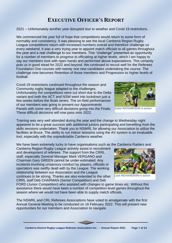## **EXECUTIVE OFFICER'S REPORT**

2021 – Unfortunately another year disrupted due to weather and Covid 19 restrictions.

We commenced the year full of hope that competitions would return to some form of normality and consistency. It was pleasing to see the local Canberra Region Rugby League competitions return with increased numbers overall and therefore challenge us every weekend. It was a very trying year to appoint match officials to all games throughout the year and a real challenge to our members. This "challenge" presented an opportunity for a number of members to progress to officiating at higher levels, which I am happy to say our members took with open hands and performed above expectations. This certainly puts us in good stead for 2022 and beyond. We continued to recruit well for the Referees Foundation One courses with twenty one new candidates undertaking the course. The challenge now becomes Retention of those members and Progression to higher levels of football.

Covid-19 restrictions continued throughout the season and Community rugby league adapted to the challenges. Unfortunately the competitions were cut short due to the Delta variant and both the ACT and NSW went into lockdown just a few weeks before the finals series. The on-field performances of our members was going to present our Appointments Panels with some very difficult decisions going into the Finals. These difficult decisions will now pass onto 2022.

Training was very well attended during the year and the change to Wednesday night appeared to be a great success with additional juniors participating and benefiting from the skills sessions undertaken. Thank you to NSWRL for allowing our Association to utilize the facilities at Bruce. The ability to run indoor sessions using the AV system is an invaluable tool, especially with the unpredictable Canberra weather.

We have been extremely lucky to have organisations such as the Canberra Raiders and

Canberra Region Rugby League actively assist in recruitment and development of referees. The support from the CRRL staff, especially General Manager Mark VERGANO and Chairman Gary GREEN cannot be under-estimated. Any incidents involving unsavoury conduct by players, officials or spectators was swiftly dealt with by the League. The working relationship between our Association and the League continues to be strong. Thanks are also extended to the other CRRL staff Deb CHARMAN (Senior Competition) and Deb

**Liam RICHARDSON in action**

FORD (Junior Competition) who assisted with changes to game times etc. Without this assistance there would have been a number of competition level games throughout the season where we would not have been able to supply match officials.

The NSWRL and CRL Referees Associations have voted to amalgamate with the first Annual General Meeting to be conducted on 16 February 2022. This will present new opportunities for our members and Association to navigate.



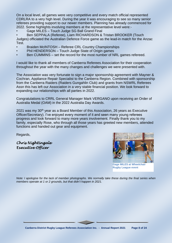On a local level, all games were very competitive and every match official represented CDRLRA to a very high level. During the year it was encouraging to see so many senior referees providing support to our newer members. Planning has already commenced for 2022. Some highlights involving members at the representative level were:-

• Gage MILES – Touch Judge SG Ball Grand Final

• Ben SEPPALA (Referee), Liam RICHARDSON & Tristan BROOKER (Touch Judges) officiated the Australian Defence Force game as the lead-in match for the Anzac Test.

- Braiden McINTOSH Referee CRL Country Championships
- Phil HENDERSON Touch Judge State of Origin games
- Ben CUMMINS set the record for the most number of NRL games refereed.

I would like to thank all members of Canberra Referees Association for their cooperation throughout the year with the many changes and challenges we were presented with.

The Association was very fortunate to sign a major sponsorship agreement with Mayner & Cochran, Appliance Repair Specialist to the Canberra Region. Combined with sponsorship from the Canberra Raiders (Raiders Gungahlin Club) and grants from NSWRL Referees Assn this has left our Association in a very stable financial position. We look forward to expanding our relationships with all parties in 2022.

Congratulations to CRRL General Manager Mark VERGANO upon receiving an Order of Australia Medal (OAM) in the 2022 Australia Day Awards.

2021 was my 30<sup>th</sup> year as a Board Member of this Association, 26 years as Executive Officer/Secretary). I've enjoyed every moment of it and seen many young referees progress and look forward to many more years involvement. Finally thank you to my family, especially Rose, who through all those years has greeted new members, attended functions and handed out gear and equipment.

Regards,

*Chris Nightingale Executive Officer* 



*Note: I apologise for the lack of member photographs. We normally take these during the final series when members operate at 1 or 2 grounds, but that didn't happen in 2021.*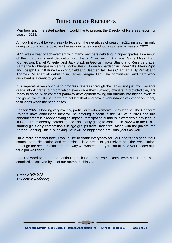## **DIRECTOR OF REFEREES**

Members and interested parties, I would like to present the Director of Referees report for season 2021.

Although it would be very easy to focus on the negatives of season 2021, instead I'm only going to focus on the positives the season gave us and looking ahead to season 2022.

2021 was a year of achievement with many members debuting in higher grades as a result of their hard work and dedication with David Charman in A grade, Gage Miles, Liam Richardson, Daniel Wheeler and Jack Black in George Tooke Shield and Reserve grade, Katherine Nightingale in George Tooke Shield, Aidan Richardson in Under 19's, Mario Prpic and Joseph Lui in Katrina Fanning Shield and Heather Hall, Jess Charman, Billy Perrott and Thomas Rynehart all debuting in Ladies League Tag. The commitment and hard work displayed is a credit to you all.

It is imperative we continue to progress referees through the ranks, not just from reserve grade into A grade, but from which ever grade they currently officiate in provided they are ready to do so. With constant pathway development taking our officials into higher levels of the game, we must ensure we are not left short and have an abundance of experience ready to fill gaps when the need arises.

Season 2022 is looking very exciting particularly with women's rugby league. The Canberra Raiders have announced they will be entering a team in the NRLW in 2023 and this announcement is already having an impact. Participation numbers in women's rugby league in Canberra is already increasing and this is only going to continue in 2022 with the CRRL starting girl's only competition's in age groups from Under 9's. Along with the juniors, the Katrina Fanning Shield is looking like it will be bigger than previous years as well.

On a more personal note, I would like to thank everybody for your efforts this year. Your commitment, dedication and enthusiasm is a credit to yourselves and the Association. Although the season didn't end the way we wanted it to, you can all hold your heads high for a job well done.

I look forward to 2022 and continuing to build on the enthusiasm, team culture and high standards displayed by all of our members this year.

*James GOULD Director Referees*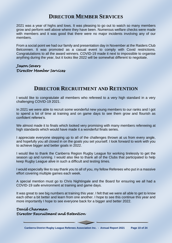## **DIRECTOR MEMBER SERVICES**

2021 was a year of highs and lows. It was pleasing to go out to watch so many members grow and perform well above where they have been. Numerous welfare checks were made with members and it was good that there were no major incidents involving any of our members.

From a social point we had our family and presentation day in November at the Raiders Club Belconnen. It was promoted as a casual event to comply with Covid restrictions. Congratulations to all the award winners. COVID-19 made it next to impossible to organise anything during the year, but it looks like 2022 will be somewhat different to negotiate.

### *Jason Severs Director Member Services*

## **DIRECTOR RECRUITMENT AND RETENTION**

I would like to congratulate all members who refereed to a very high standard in a very challenging COVID-19 2021.

In 2021 we were able to recruit some wonderful new young members to our ranks and I got to spend a lot of time at training and on game days to see them grow and flourish as confident referee's.

We almost made it to finals which looked very promising with many members refereeing at high standards which would have made it a wonderful finals series.

I appreciate everyone stepping up to all of the challenges thrown at us from every angle, and hopefully you all closed in on the goals you set yourself. I look forward to work with you to achieve bigger and better goals in 2022.

I would like to thank the Canberra Region Rugby League for working tirelessly to get the season up and running. I would also like to thank all of the Clubs that participated to help keep Rugby League alive in such a difficult and testing times.

I would especially like to say thank you to all of you, my fellow Referees who put in a massive effort covering multiple games each week.

A special mention must go to Chris Nightingale and the Board for ensuring we all had a COVID-19 safe environment at training and game days.

It was great to see big numbers at training this year. I felt that we were all able to get to know each other a bit better and learn from one another. I hope to see this continue this year and more importantly I hope to see everyone back for a bigger and better 2022.

## *David Charman Director Recruitment and Retention*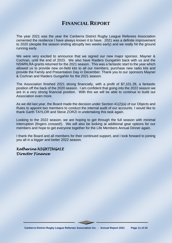## **FINANCIAL REPORT**

The year 2021 was the year the Canberra District Rugby League Referees Association cemented the resilience I have always known it to have. 2021 was a definite improvement to 2020 (despite the season ending abruptly two weeks early) and we really hit the ground running early.

We were very excited to announce that we signed our new major sponsor, Mayner & Cochran, until the end of 2023. We also have Raiders Gungahlin back with us and the NSWRLRA grants returned for the 2021 season. This was a fantastic start to the year which allowed us to provide new on-field kits to all our members, purchase new radio kits and provide the Family and Presentation Day in December. Thank you to our sponsors Mayner & Cochran and Raiders Gungahlin for the 2021 season.

The Association finished 2021 strong financially, with a profit of \$7,101.28, a fantastic position off the back of the 2020 season. I am confident that going into the 2022 season we are in a very strong financial position. With this we will be able to continue to build our Association even more.

As we did last year, the Board made the decision under Section 41(2)(a) of our Objects and Rules to appoint two members to conduct the internal audit of our accounts. I would like to thank Garth TAYLOR and Steve ZORZI in undertaking this task again.

Looking to the 2022 season, we are hoping to get through the full season with minimal interruption (fingers crossed!). We will also be looking at additional gear options for our members and hope to get everyone together for the Life Members Annual Dinner again.

I thank the Board and all members for their continued support, and I look forward to joining you all in a bigger and better 2022 season.

## *Katherine NIGHTINGALE Director Finance*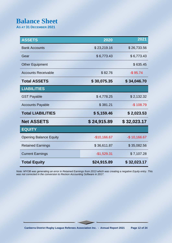## **Balance Sheet**

**AS AT 31 DECEMBER 2021**

| <b>ASSETS</b>                 | 2020          | 2021          |
|-------------------------------|---------------|---------------|
| <b>Bank Accounts</b>          | \$23,219.16   | \$26,733.56   |
| Gear                          | \$6,773.43    | \$6,773.43    |
| <b>Other Equipment</b>        |               | \$635.45      |
| <b>Accounts Receivable</b>    | \$82.76       | $-$ \$95.74   |
| <b>Total ASSETS</b>           | \$30,075.35   | \$34,046.70   |
| <b>LIABILITIES</b>            |               |               |
| <b>GST Payable</b>            | \$4,778.25    | \$2,132.32    |
| <b>Accounts Payable</b>       | \$381.21      | $-$108.79$    |
| <b>Total LIABILITIES</b>      | \$5,159.46    | \$2,023.53    |
| <b>Net ASSETS</b>             | \$24,915.89   | \$32,023.17   |
| <b>EQUITY</b>                 |               |               |
| <b>Opening Balance Equity</b> | $-$10,166.67$ | $-$10,166.67$ |
| <b>Retained Earnings</b>      | \$36,611.87   | \$35,082.56   |
| <b>Current Earnings</b>       | $-$1,529.31$  | \$7,107.28    |
| <b>Total Equity</b>           | \$24,915.89   | \$32,023.17   |

*Note: MYOB was generating an error in Retained Earnings from 2013 which was creating a negative Equity entry. This was not corrected in the conversion to Reckon Accounting Software in 2017.*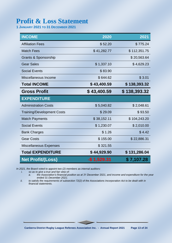## **Profit & Loss Statement**

**1 JANUARY 2021 TO 31 DECEMBER 2021**

| <b>INCOME</b>                     | 2020         | 2021         |
|-----------------------------------|--------------|--------------|
| <b>Affiliation Fees</b>           | \$52.20      | \$775.24     |
| <b>Match Fees</b>                 | \$41,282.77  | \$112,351.75 |
| <b>Grants &amp; Sponsorship</b>   |              | \$20,563.64  |
| <b>Gear Sales</b>                 | \$1,337.10   | \$4,629.23   |
| <b>Social Events</b>              | \$83.90      |              |
| Miscellaneous Income              | \$644.62     | \$3.01       |
| <b>Total INCOME</b>               | \$43,400.59  | \$138,393.32 |
| <b>Gross Profit</b>               | \$43,400.59  | \$138,393.32 |
| <b>EXPENDITURE</b>                |              |              |
| <b>Administration Costs</b>       | \$5,040.82   | \$2,048.61   |
| <b>Training/Development Costs</b> | \$29.09      | \$93.50      |
| <b>Match Payments</b>             | \$38,152.11  | \$104,243.20 |
| <b>Social Events</b>              | \$1,230.07   | \$2,010.00   |
| <b>Bank Charges</b>               | \$1.26       | \$4.42       |
| <b>Gear Costs</b>                 | \$155.00     | \$22,886.31  |
| <b>Miscellaneous Expenses</b>     | \$321.55     |              |
| <b>Total EXPENDITURE</b>          | \$44,929.90  | \$131,286.04 |
| <b>Net Profit/(Loss)</b>          | -\$ 1,529.31 | \$7,107.28   |

*In 2021, the Board voted to appoint two (2) members as internal auditors:*

*i. so as to give a true and fair view of:*

*a. the Association's financial position as at 31 December 2021, and income and expenditure for the year ended 31 December 2021;*

*ii. to satisfy the requirements of subsection 72(2) of the Associations Incorporation Act to be dealt with in financial statements.*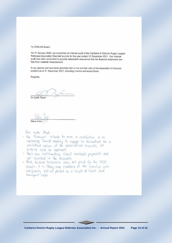To CDRLRA Board,

On 27 January 2022, we conducted an internal audit of the Canberra & Districts Rugby League Referees Association financial records for the year ended 31 December 2021. Our internal audit has been conducted to provide reasonable assurance that the financial statements are free from material misstatement.

In our opinion we have been provided with a true and fair view of the Association's financial position as at 31 December 2021, including income and expenditure.

Regards,

Dr Garth Taylor

We note that:

- the Treasurer intends to move a resolution of an upcoming Board meeting to engage an accountant for a
- periodical review of the associations accounts. We endorse such an approach.
- there are outstanding school carnival payments not
- yet recorded in the accounts.<br>- that, because honoraria were not paid for the 2020<br>season, It is likely some members of the Executive were marginally out-of-pocket as a result of trailel and<br>transport costs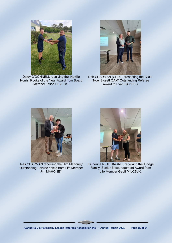

Daley O'DONNELL receiving the 'Neville Norris' Rooke of the Year Award from Board Member Jason SEVERS.



Deb CHARMAN (CRRL) presenting the CRRL 'Noel Bissett OAM' Outstanding Referee Award to Evan BAYLISS.



Jess CHARMAN receiving the 'Jim Mahoney' Outstanding Service shield from Life Member Jim MAHONEY



Katherine NIGHTINGALE receiving the 'Hodge Family' Senior Encouragement Award from Life Member Geoff MILCZUK.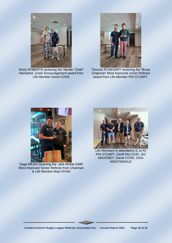

Kirsty ROBERTS receiving the 'Neville "Chief" Harradine' Junior Encouragement award from Life Member David COOK



Thomas RYNEHART receiving the 'Bruce Chapman' Most Improved Junior Referee award from Life Member Phil STUART.



Gage MILES receiving the 'Jack McKie OAM' Most Improved Senior Referee from Chairman & Life Member Mark RYAN



Life Members in attendance (L to R) Phil STUART, Geoff MILCZUK, Jim MAHONEY, David COOK, Chris **NIGHTINGALE**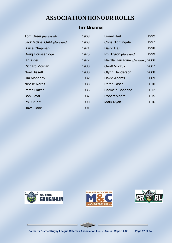## **LIFE MEMBERS**

| Tom Greer (deceased)       | 1963 | <b>Lionel Hart</b>                | 1992 |
|----------------------------|------|-----------------------------------|------|
| Jack McKie, OAM (deceased) | 1963 | <b>Chris Nightingale</b>          | 1997 |
| <b>Bruce Chapman</b>       | 1971 | <b>David Hall</b>                 | 1998 |
| Doug Houssenloge           | 1975 | Phil Byron (deceased)             | 1999 |
| lan Alder                  | 1977 | Neville Harradine (deceased) 2006 |      |
| <b>Richard Morgan</b>      | 1980 | <b>Geoff Milczuk</b>              | 2007 |
| <b>Noel Bissett</b>        | 1980 | <b>Glynn Henderson</b>            | 2008 |
| Jim Mahoney                | 1982 | David Adams                       | 2009 |
| <b>Neville Norris</b>      | 1983 | <b>Peter Castle</b>               | 2010 |
| <b>Peter Frazer</b>        | 1985 | Carmelo Bonanno                   | 2012 |
| <b>Bob Lloyd</b>           | 1987 | <b>Robert Moore</b>               | 2015 |
| <b>Phil Stuart</b>         | 1990 | Mark Ryan                         | 2016 |
| Dave Cook                  | 1991 |                                   |      |





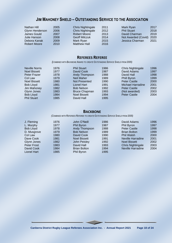## **JIM MAHONEY SHIELD – OUTSTANDING SERVICE TO THE ASSOCIATION**

| Nathan Hill     | 2005 | Chris Nightingale    | 2011 | Mark Ryan           | 2017 |
|-----------------|------|----------------------|------|---------------------|------|
| Glynn Henderson | 2006 | Chris Nightingale    | 2012 | <b>Phil Stuart</b>  | 2018 |
| James Gould     | 2007 | <b>Robert Moore</b>  | 2013 | David Charman       | 2019 |
| Julie Hanson    | 2008 | <b>Geoff Milczuk</b> | 2014 | Not Awarded (Covid) | 2020 |
| Debora Kanak    | 2009 | Mark Ryan            | 2015 | Jessica Charman     | 2021 |
| Robert Moore    | 2010 | <b>Matthew Hall</b>  | 2016 |                     |      |
|                 |      |                      |      |                     |      |

#### **REFEREES REFEREE**

*(COMBINED WITH BACKBONE AWARD TO CREATE OUTSTANDING SERVICE SHIELD FROM 2005)*

| <b>Neville Norris</b> | 1976 | <b>Phil Stuart</b>   | 1986 | Chris Nightingale   | 1996 |
|-----------------------|------|----------------------|------|---------------------|------|
| <b>Noel Bissett</b>   | 1977 | David Cook           | 1987 | David Adams         | 1997 |
| Peter Frazer          | 1978 | <b>Andy Thompson</b> | 1988 | David Hall          | 1998 |
| Col Law               | 1979 | <b>Neil Maher</b>    | 1989 | <b>Phill Byron</b>  | 1999 |
| <b>Noel Bissett</b>   | 1980 | Not Presented        | 1990 | <b>Peter Castle</b> | 2000 |
| <b>Bob Lloyd</b>      | 1981 | Lionel Hart          | 1991 | Michael Harradine   | 2001 |
| Jim Mahoney           | 1982 | <b>Bob Nelson</b>    | 1992 | <b>Peter Castle</b> | 2002 |
| Glynn Jones           | 1983 | <b>Bruce Chapman</b> | 1993 | (Not awarded)       | 2003 |
| <b>Bob Lloyd</b>      | 1984 | <b>Noel Bissett</b>  | 1994 | <b>Peter Castle</b> | 2004 |
| <b>Phil Stuart</b>    | 1985 | David Hall           | 1995 |                     |      |
|                       |      |                      |      |                     |      |

#### **BACKBONE**

*(COMBINED WITH REFEREES REFEREE TO CREATE OUTSTANDING SERVICE SHIELD FROM 2005)*

| J. Fleming         | 1976 | John O'Neill        | 1986 | David Adams              | 1996 |
|--------------------|------|---------------------|------|--------------------------|------|
| L. Murphy          | 1977 | Phil Byron          | 1987 | Phil Byron               | 1997 |
| <b>Bob Lloyd</b>   | 1978 | Andy Thompson       | 1988 | <b>Peter Castle</b>      | 1998 |
| D. Musgrove        | 1979 | <b>Bob Nelson</b>   | 1989 | <b>Brian Bolton</b>      | 1999 |
| Col Law            | 1980 | David Cook          | 1990 | <b>Phil Walsh</b>        | 2000 |
| Dave Cook          | 1981 | <b>Noel Bissett</b> | 1991 | Neville Harradine        | 2001 |
| Glynn Jones        | 1982 | John Peisley        | 1992 | <b>Noel Bissett</b>      | 2002 |
| Peter Frost        | 1983 | David Hall          | 1993 | <b>Chris Nightingale</b> | 2003 |
| David Cook         | 1984 | <b>Brian Bolton</b> | 1994 | <b>Neville Harradine</b> | 2004 |
| <b>Lionel Hart</b> | 1985 | Phil Byron          | 1995 |                          |      |
|                    |      |                     |      |                          |      |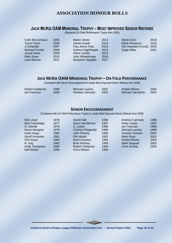## **JACK MCKIE OAM MEMORIAL TROPHY – MOST IMPROVED SENIOR REFEREE**

*(Replaced On Field Performance Trophy from 2005)*

| Colin McCormack    | 2005 | <b>Martin Jones</b> | 2012 | Steve Zorzi            | 2018 |
|--------------------|------|---------------------|------|------------------------|------|
| <b>Tyson Flynn</b> | 2006 | James Gould         | 2013 | <b>Elijah Fernance</b> | 2019 |
| Ji Delander        | 2007 | Fatu Aiono-Fatu     | 2014 | Not Awarded (Covid)    | 2020 |
| Michael Forster    | 2008 | Andrew Nightingale  | 2014 | <b>Gage Miles</b>      | 2021 |
| <b>Josiah West</b> | 2009 | Oliver Levido       | 2015 |                        |      |
| Mark Ryan          | 2010 | John Wharehinga     | 2016 |                        |      |
| <b>Luke Barrow</b> | 2011 | Benjamin Seppala    | 2017 |                        |      |

### **JACK MCKIE OAM MEMORIAL TROPHY – ON FIELD PERFORMANCE**

*(Combined with Senior Encouragement to create Most Improved Senior Referee from 2005)*

| Robert Gallacher | 1999 | Michael Laverty | 2001 | Robert Moore      | 2003 |
|------------------|------|-----------------|------|-------------------|------|
| lan Freeman      | 2000 | Sheldon Johnson | 2002 | Michael Harradine | 2004 |

#### **SENIOR ENCOURAGEMENT**

*(Combined with On Field Performance Trophy to create Most Improved Senior Referee from 2005)*

| <b>Bob Lloyd</b>     | 1976 | David Hall                | 1986 | <b>Andrew Carmody</b>  | 1996 |
|----------------------|------|---------------------------|------|------------------------|------|
| <b>Bob Cambridge</b> | 1977 | <b>Glynn Henderson</b>    | 1987 | <b>Peter Castle</b>    | 1997 |
| N. Wardle            | 1978 | G. Leahy                  | 1988 | lan Freeman            | 1998 |
| Denis Meagher        | 1979 | <b>Charles Fitzgerald</b> | 1989 | <b>Michael Laverty</b> | 1999 |
| Keith Gegg           | 1980 | John Peisley              | 1990 | Dominic Feenan         | 2000 |
| Geoff Snowden        | 1981 | <b>Phil Walsh</b>         | 1991 | Mark Ryan              | 2001 |
| <b>Phil Stuart</b>   | 1982 | <b>Rod Cranston</b>       | 1992 | <b>Robert Moore</b>    | 2002 |
| R. Gay               | 1983 | <b>Brett Northey</b>      | 1993 | <b>Mark Dagwell</b>    | 2003 |
| Andy Thompson        | 1984 | <b>Robert Gallacher</b>   | 1994 | <b>Chris Arcella</b>   | 2004 |
| <b>Neil Maher</b>    | 1985 | <b>Chris Wilson</b>       | 1995 |                        |      |
|                      |      |                           |      |                        |      |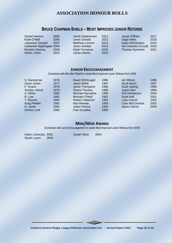## **BRUCE CHAPMAN SHIELD – MOST IMPROVED JUNIOR REFEREE**

| Daniel Hanson              | Jacob Stephenson<br>2005       | 2011 | Jacob O'Brien          | 2017 |
|----------------------------|--------------------------------|------|------------------------|------|
| Kylie O'Neill              | Lewis Oswald<br>2006           | 2012 | <b>Gage Miles</b>      | 2018 |
| <b>Lawrence Oswald</b>     | <b>Matthew Lennon</b><br>2007  | 2013 | Aidan Richardson       | 2019 |
| Katherine Nightingale 2008 | Jason Shields                  | 2014 | Not Awarded (Covid)    | 2020 |
| <b>Brenton Savona</b>      | <b>Elijah Fernance</b><br>2009 | 2015 | <b>Thomas Rynehart</b> | 2021 |
| Martin Jones               | James Martin<br>2010           | 2016 |                        |      |
|                            |                                |      |                        |      |

#### **JUNIOR ENCOURAGEMENT**

*(Combined with Mini Mod Shield to create Most Improved Junior Referee from 2005)*

| 1976 | <b>Stuart McDougall</b> | 1986 | lan Wilson             | 1996 |
|------|-------------------------|------|------------------------|------|
| 1977 | Jason Elliott           | 1987 | <b>Scott Norris</b>    | 1997 |
| 1978 | Jamie Thompson          | 1988 | Scott Jopling          | 1998 |
| 1979 | <b>Shane Thurlow</b>    | 1989 | Jason Hart             | 1999 |
| 1980 | Michael Harradine       | 1990 | <b>Phil Henderson</b>  | 2000 |
| 1981 | Michael O'Neill         | 1991 | Scott Hall             | 2001 |
| 1982 | <b>Robert Gallacher</b> | 1992 | <b>Luke Carroll</b>    | 2002 |
| 1983 | Nial Wheate             | 1993 | <b>Colin McCormack</b> | 2003 |
| 1984 | Julian Pearce           | 1994 | <b>Aaron Carroll</b>   | 2004 |
| 1985 | Paul Grzadka            | 1995 |                        |      |
|      |                         |      |                        |      |

## **MINI/MOD AWARD**

*(Combined with Junior Encouragement to create Most Improved Junior Referee from 2005)*

Adam Lehoczky 2002<br>Sarah Lyons 2003 Sarah Lyons

Josiah West 2004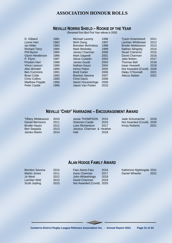## **NEVILLE NORRIS SHIELD – ROOKIE OF THE YEAR**

*(Renamed from Best First Year referee in 2005)*

| D. Gilbard             | 1981 | <b>Michael Laverty</b>   | 1996 | <b>Tyson Greenwood</b> | 2011 |
|------------------------|------|--------------------------|------|------------------------|------|
| Lionel Hart            | 1982 | Minh Dang                | 1997 | Lachlan Whitbread      | 2012 |
| <b>lan Miller</b>      | 1983 | <b>Brendan McKinless</b> | 1998 | Brodie Widdowson       | 2013 |
| <b>Richard Terry</b>   | 1984 | Mark Berkeley            | 1999 | Nathan Slingsby        | 2014 |
| <b>Phil Byron</b>      | 1985 | James Charman            | 2000 | <b>Stuart Cameron</b>  | 2015 |
| <b>Glynn Henderson</b> | 1986 | Mark Dagwell             | 2001 | David Charman          | 2016 |
| P. Flynn               | 1987 | <b>Steve Costello</b>    | 2002 | Jake Bolton            | 2017 |
| <b>Preston Hart</b>    | 1988 | James Gould              | 2003 | Thomas Bell            | 2018 |
| Vince Lawson           | 1989 | Nathan Gauci             | 2004 | <b>Isaac Howarth</b>   | 2019 |
| Alan Brindell          | 1990 | Henry Paton              | 2005 | Not Awarded (Covid)    | 2020 |
| <b>Ben Cummins</b>     | 1991 | <b>Brett Carter</b>      | 2006 | Daley O'Donnell        | 2021 |
| <b>Brian Cobb</b>      | 1992 | <b>Brenton Savona</b>    | 2007 | <b>Atticus Batten</b>  | 2021 |
| <b>Chris Collins</b>   | 1993 | <b>Chris Davis</b>       | 2008 |                        |      |
| <b>Matthew Popple</b>  | 1994 | Aaron Houssenloge        | 2009 |                        |      |
| <b>Peter Castle</b>    | 1995 | Jason Van Putten         | 2010 |                        |      |

## **NEVILLE 'CHIEF' HARRADINE – ENCOURAGEMENT AWARD**

| <b>Tiffany Widdowson</b> | 2010 | Jesse THOMPSON            | 2015 | Jade Schumacher          | 2019 |
|--------------------------|------|---------------------------|------|--------------------------|------|
| Daniel Bernsons          | 2011 | <b>Shannon Castle</b>     | 2016 | Not Awarded (Covid) 2020 |      |
| <b>Brodie Hayes</b>      | 2012 | Liam Richardson           | 2017 | <b>Kirsty Roberts</b>    | 2021 |
| Ben Seppala              | 2013 | Jessica Charman & Heather |      |                          |      |
| James Martin             | 2014 | Hall                      | 2018 |                          |      |

## **ALAN HODGE FAMILY AWARD**

| <b>Brenton Savona</b> | 2010 | Fatu Aiono-Fatu          | 2016 | Katherine Nightingale 2021 |
|-----------------------|------|--------------------------|------|----------------------------|
| <b>Martin Jones</b>   | 2011 | Dave Charman             | 2017 | Daniel Wheeler<br>2021     |
| Jo West               | 2012 | John Wharehinga          | 2018 |                            |
| Lachlan Wild          | 2013 | David Charman            | 2019 |                            |
| Scott Jopling         | 2015 | Not Awarded (Covid) 2020 |      |                            |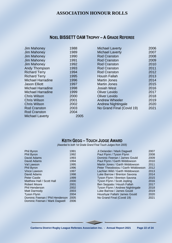## **NOEL BISSETT OAM TROPHY – A GRADE REFEREE**

| <b>Jim Mahoney</b>       | 1988 |
|--------------------------|------|
| <b>Jim Mahoney</b>       | 1989 |
| <b>Jim Mahoney</b>       | 1990 |
| <b>Jim Mahoney</b>       | 1991 |
| <b>Jim Mahoney</b>       | 1992 |
| Andy Thompson            | 1993 |
| <b>Richard Terry</b>     | 1994 |
| <b>Richard Terry</b>     | 1995 |
| <b>Michael Harradine</b> | 1996 |
| Jason Elliott            | 1997 |
| Michael Harradine        | 1998 |
| Michael Harradine        | 1999 |
| Chris Wilson             | 2000 |
| <b>Chris Wilson</b>      | 2001 |
| <b>Chris Wilson</b>      | 2002 |
| Rod Cranston             | 2003 |
| <b>Rod Cranston</b>      | 2004 |
| <b>Michael Laverty</b>   | 2005 |

| <b>Michael Laverty</b>    | 2006 |
|---------------------------|------|
| <b>Michael Laverty</b>    | 2007 |
| <b>Rod Cranston</b>       | 2008 |
| <b>Rod Cranston</b>       | 2009 |
| <b>Rod Cranston</b>       | 2010 |
| <b>Rod Cranston</b>       | 2011 |
| Rod Cranston              | 2012 |
| <b>Housh Fallah</b>       | 2013 |
| <b>Martin Jones</b>       | 2014 |
| Martin Jones              | 2015 |
| Josiah West               | 2016 |
| <b>Oliver Levido</b>      | 2017 |
| <b>Oliver Levido</b>      | 2018 |
| <b>Andrew Wheeler</b>     | 2019 |
| <b>Andrew Nightingale</b> | 2020 |
| No Grand Final (Covid 19) | 2021 |
|                           |      |

## **KEITH GEGG – TOUCH JUDGE AWARD**

*(Awarded to both 1st Grade Grand Final Touch Judges from 2005)*

| Phil Byron                      | 1991 | Ji Delander / Mark Dagwell         | 2007 |
|---------------------------------|------|------------------------------------|------|
| Phil Byron                      | 1992 | Paul Flynn / Tyson Flynn           | 2008 |
| David Adams                     | 1993 | Dominic Feenan / James Gould       | 2009 |
| David Adams                     | 1994 | Paul Flynn / Garth Widdowson       | 2010 |
| Val Lawson                      | 1995 | Martin Jones / Garth Widdowson     | 2011 |
| <b>Phil Byron</b>               | 1996 | Peter Theodosiou / Garth Widdowson | 2012 |
| <b>Vince Lawson</b>             | 1997 | Lachlan Wild / Garth Widdowson     | 2013 |
| David Adams                     | 1998 | Luke Barrow / Brenton Savona       | 2014 |
| Peter Castle                    | 1999 | Tyson Flynn / Brenton Savona       | 2015 |
| Matthew Hall / Scott Hall       | 2000 | Tyson Flynn / Scott Jopling        | 2016 |
| Robert Moore                    | 2001 | Ben Seppala / Housh Fallah         | 2017 |
| <b>Phil Henderson</b>           | 2002 | Tyson Flynn / Andrew Nightingale   | 2018 |
| Matt Darmody                    | 2003 | Luke Barrow / James Gould          | 2019 |
| Tyson Flynn                     | 2004 | Houshyar Fallah/ James Gould       | 2020 |
| Dominic Feenan / Phil Henderson | 2005 | No Grand Final (Covid 19)          | 2021 |
| Dominic Feenan / Mark Dagwell   | 2006 |                                    |      |